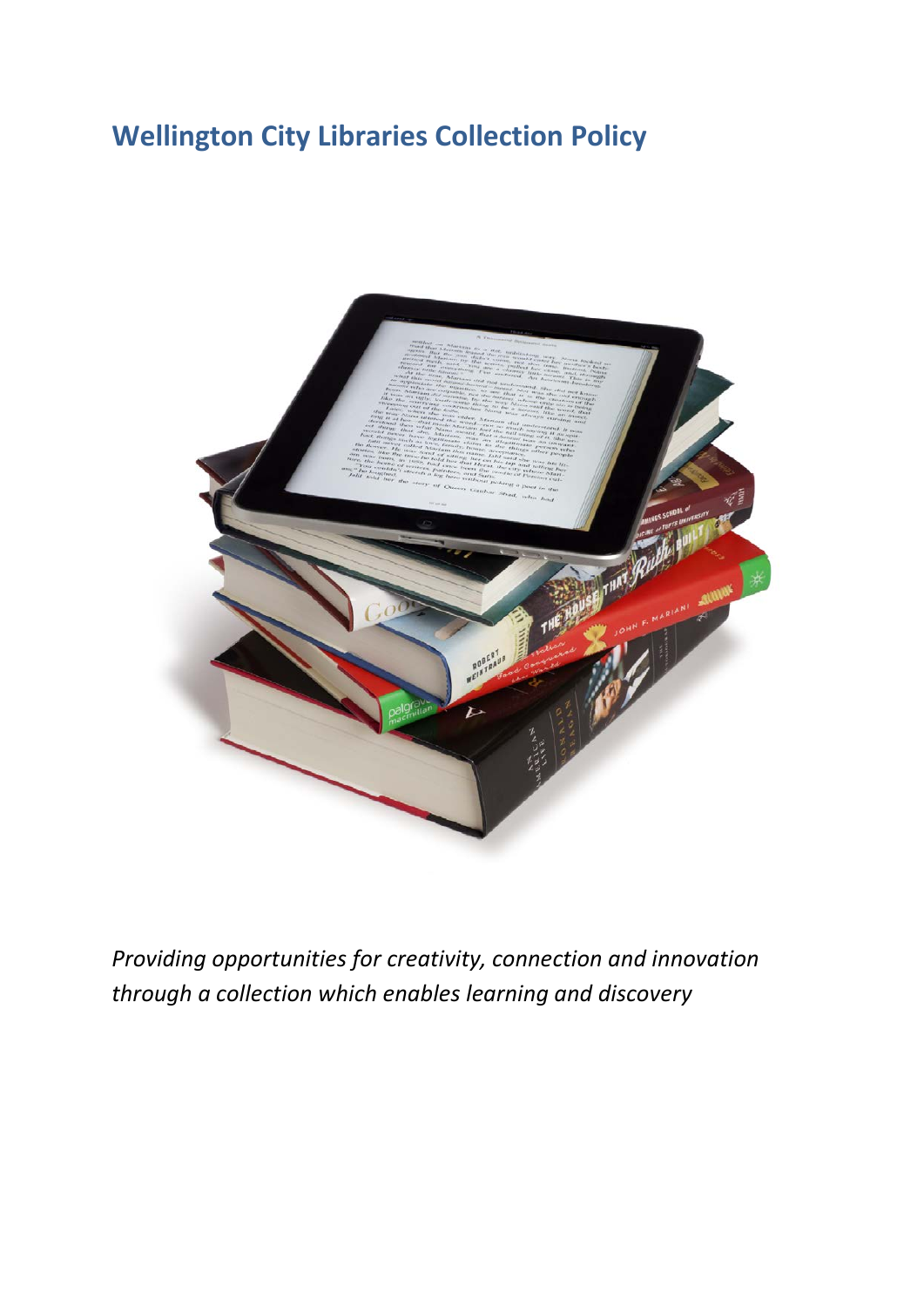# **Wellington City Libraries Collection Policy**



*Providing opportunities for creativity, connection and innovation through a collection which enables learning and discovery*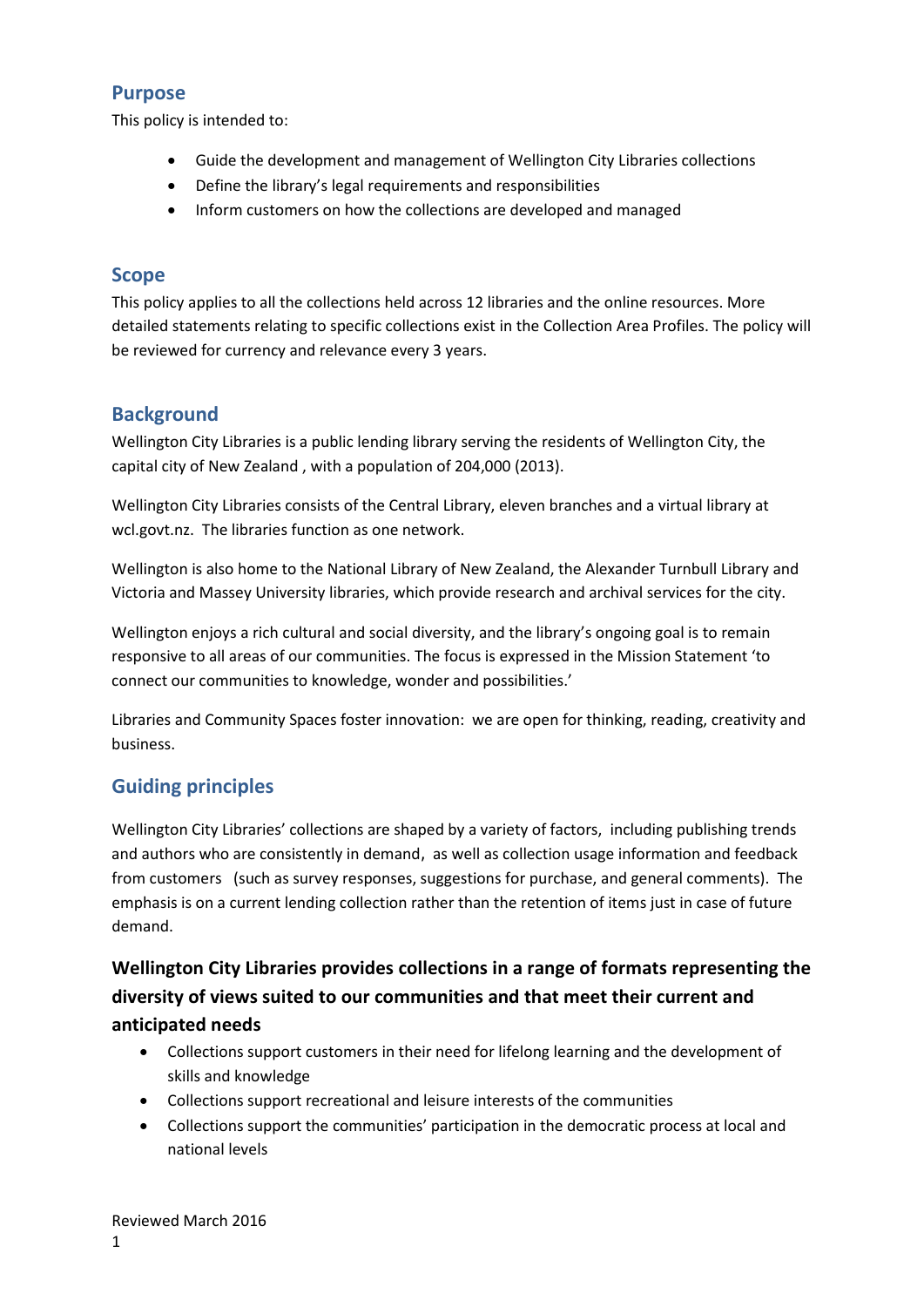## **Purpose**

This policy is intended to:

- Guide the development and management of Wellington City Libraries collections
- Define the library's legal requirements and responsibilities
- Inform customers on how the collections are developed and managed

## **Scope**

This policy applies to all the collections held across 12 libraries and the online resources. More detailed statements relating to specific collections exist in the Collection Area Profiles. The policy will be reviewed for currency and relevance every 3 years.

# **Background**

Wellington City Libraries is a public lending library serving the residents of Wellington City, the capital city of New Zealand , with a population of 204,000 (2013).

Wellington City Libraries consists of the Central Library, eleven branches and a virtual library at wcl.govt.nz. The libraries function as one network.

Wellington is also home to the National Library of New Zealand, the Alexander Turnbull Library and Victoria and Massey University libraries, which provide research and archival services for the city.

Wellington enjoys a rich cultural and social diversity, and the library's ongoing goal is to remain responsive to all areas of our communities. The focus is expressed in the Mission Statement 'to connect our communities to knowledge, wonder and possibilities.'

Libraries and Community Spaces foster innovation: we are open for thinking, reading, creativity and business.

# **Guiding principles**

Wellington City Libraries' collections are shaped by a variety of factors, including publishing trends and authors who are consistently in demand, as well as collection usage information and feedback from customers (such as survey responses, suggestions for purchase, and general comments). The emphasis is on a current lending collection rather than the retention of items just in case of future demand.

# **Wellington City Libraries provides collections in a range of formats representing the diversity of views suited to our communities and that meet their current and anticipated needs**

- Collections support customers in their need for lifelong learning and the development of skills and knowledge
- Collections support recreational and leisure interests of the communities
- Collections support the communities' participation in the democratic process at local and national levels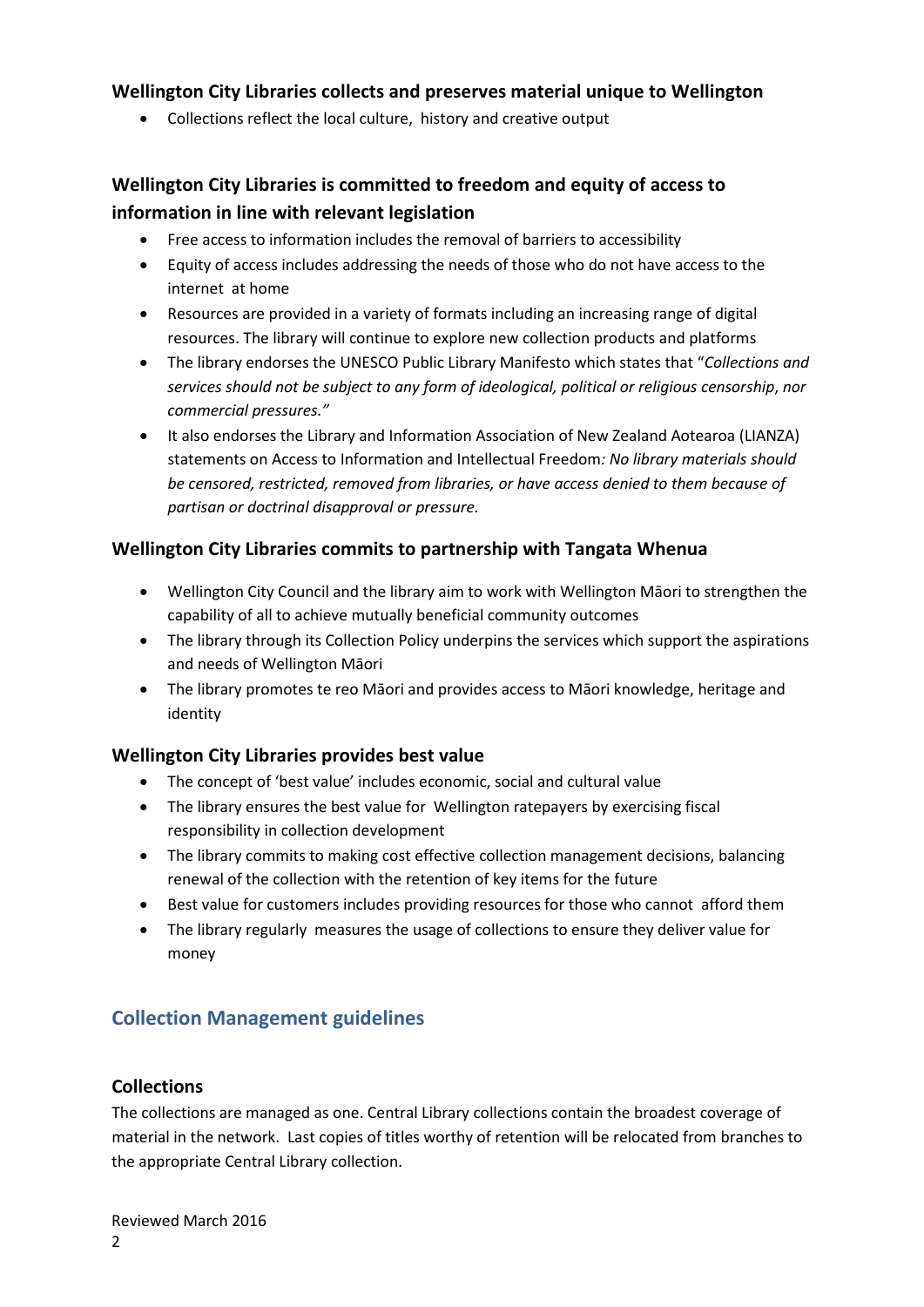## **Wellington City Libraries collects and preserves material unique to Wellington**

• Collections reflect the local culture, history and creative output

# **Wellington City Libraries is committed to freedom and equity of access to information in line with relevant legislation**

- Free access to information includes the removal of barriers to accessibility
- Equity of access includes addressing the needs of those who do not have access to the internet at home
- Resources are provided in a variety of formats including an increasing range of digital resources. The library will continue to explore new collection products and platforms
- The library endorses the UNESCO Public Library Manifesto which states that "*Collections and services should not be subject to any form of ideological, political or religious censorship*, *nor commercial pressures."*
- It also endorses the Library and Information Association of New Zealand Aotearoa (LIANZA) statements on Access to Information and Intellectual Freedom*: No library materials should be censored, restricted, removed from libraries, or have access denied to them because of partisan or doctrinal disapproval or pressure.*

## **Wellington City Libraries commits to partnership with Tangata Whenua**

- Wellington City Council and the library aim to work with Wellington Māori to strengthen the capability of all to achieve mutually beneficial community outcomes
- The library through its Collection Policy underpins the services which support the aspirations and needs of Wellington Māori
- The library promotes te reo Māori and provides access to Māori knowledge, heritage and identity

#### **Wellington City Libraries provides best value**

- The concept of 'best value' includes economic, social and cultural value
- The library ensures the best value for Wellington ratepayers by exercising fiscal responsibility in collection development
- The library commits to making cost effective collection management decisions, balancing renewal of the collection with the retention of key items for the future
- Best value for customers includes providing resources for those who cannot afford them
- The library regularly measures the usage of collections to ensure they deliver value for money

# **Collection Management guidelines**

#### **Collections**

The collections are managed as one. Central Library collections contain the broadest coverage of material in the network. Last copies of titles worthy of retention will be relocated from branches to the appropriate Central Library collection.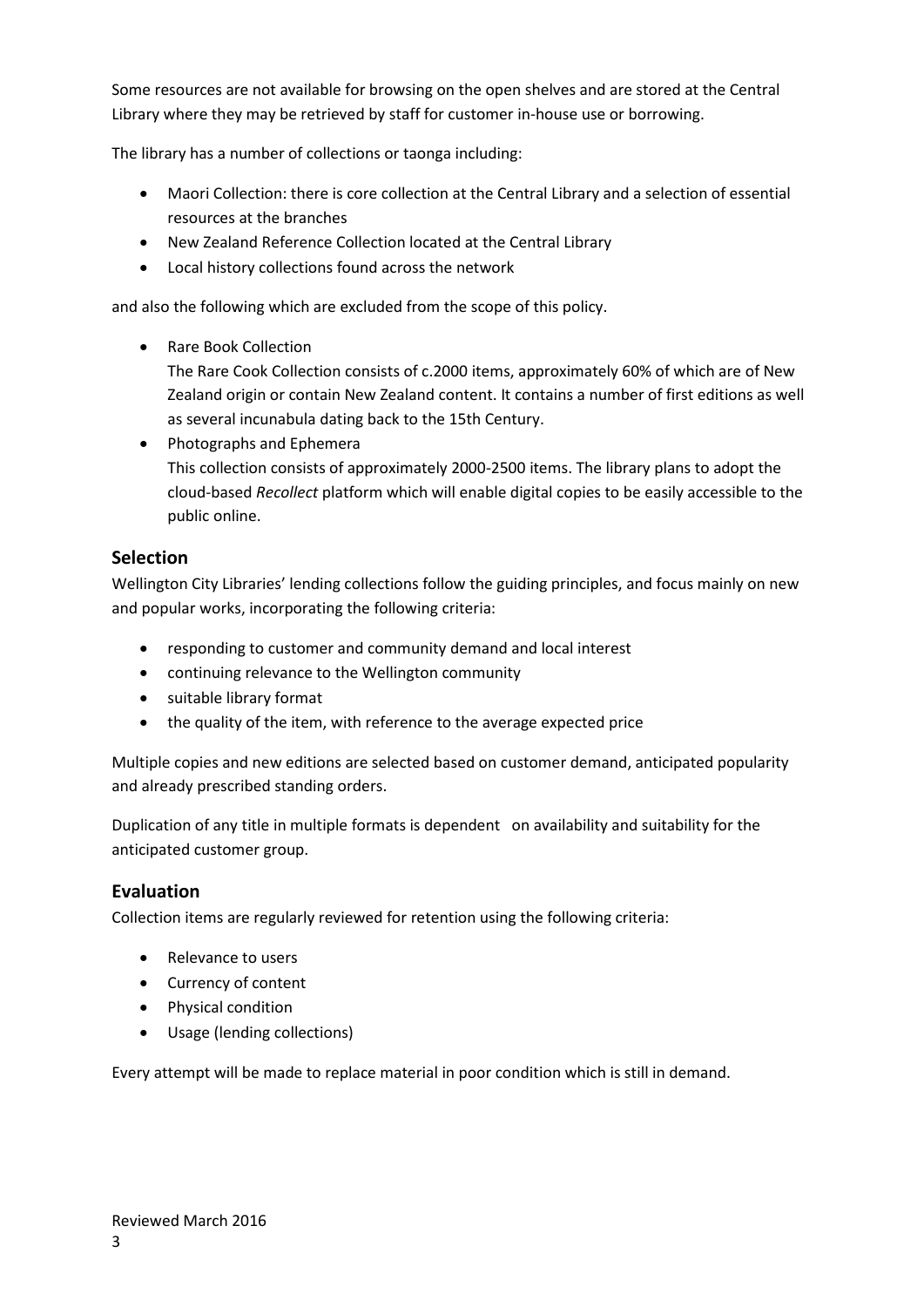Some resources are not available for browsing on the open shelves and are stored at the Central Library where they may be retrieved by staff for customer in-house use or borrowing.

The library has a number of collections or taonga including:

- Maori Collection: there is core collection at the Central Library and a selection of essential resources at the branches
- New Zealand Reference Collection located at the Central Library
- Local history collections found across the network

and also the following which are excluded from the scope of this policy.

• Rare Book Collection

The Rare Cook Collection consists of c.2000 items, approximately 60% of which are of New Zealand origin or contain New Zealand content. It contains a number of first editions as well as several incunabula dating back to the 15th Century.

• Photographs and Ephemera This collection consists of approximately 2000-2500 items. The library plans to adopt the cloud-based *Recollect* platform which will enable digital copies to be easily accessible to the public online.

## **Selection**

Wellington City Libraries' lending collections follow the guiding principles, and focus mainly on new and popular works, incorporating the following criteria:

- responding to customer and community demand and local interest
- continuing relevance to the Wellington community
- suitable library format
- the quality of the item, with reference to the average expected price

Multiple copies and new editions are selected based on customer demand, anticipated popularity and already prescribed standing orders.

Duplication of any title in multiple formats is dependent on availability and suitability for the anticipated customer group.

#### **Evaluation**

Collection items are regularly reviewed for retention using the following criteria:

- Relevance to users
- Currency of content
- Physical condition
- Usage (lending collections)

Every attempt will be made to replace material in poor condition which is still in demand.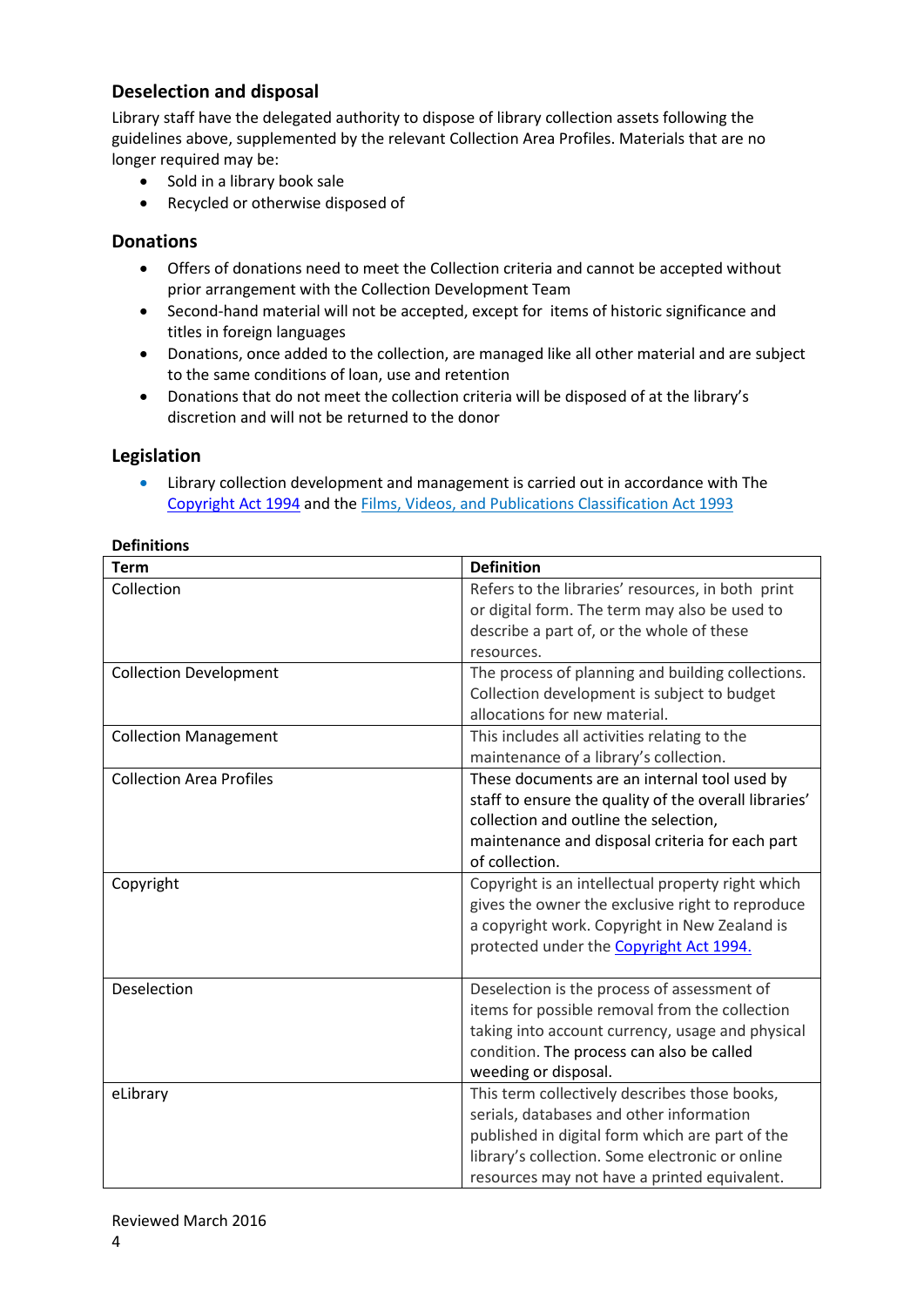## **Deselection and disposal**

Library staff have the delegated authority to dispose of library collection assets following the guidelines above, supplemented by the relevant Collection Area Profiles. Materials that are no longer required may be:

- Sold in a library book sale
- Recycled or otherwise disposed of

#### **Donations**

- Offers of donations need to meet the Collection criteria and cannot be accepted without prior arrangement with the Collection Development Team
- Second-hand material will not be accepted, except for items of historic significance and titles in foreign languages
- Donations, once added to the collection, are managed like all other material and are subject to the same conditions of loan, use and retention
- Donations that do not meet the collection criteria will be disposed of at the library's discretion and will not be returned to the donor

#### **Legislation**

• Library collection development and management is carried out in accordance with The [Copyright Act 1994](http://www.legislation.govt.nz/act/public/1994/0143/latest/DLM345634.html) and th[e Films, Videos, and Publications Classification Act 1993](http://www.legislation.govt.nz/act/public/1993/0094/latest/DLM312895.html) 

| <b>Term</b>                     | <b>Definition</b>                                     |
|---------------------------------|-------------------------------------------------------|
| Collection                      | Refers to the libraries' resources, in both print     |
|                                 | or digital form. The term may also be used to         |
|                                 | describe a part of, or the whole of these             |
|                                 | resources.                                            |
| <b>Collection Development</b>   | The process of planning and building collections.     |
|                                 | Collection development is subject to budget           |
|                                 | allocations for new material.                         |
| <b>Collection Management</b>    | This includes all activities relating to the          |
|                                 | maintenance of a library's collection.                |
| <b>Collection Area Profiles</b> | These documents are an internal tool used by          |
|                                 | staff to ensure the quality of the overall libraries' |
|                                 | collection and outline the selection,                 |
|                                 | maintenance and disposal criteria for each part       |
|                                 | of collection.                                        |
| Copyright                       | Copyright is an intellectual property right which     |
|                                 | gives the owner the exclusive right to reproduce      |
|                                 | a copyright work. Copyright in New Zealand is         |
|                                 | protected under the Copyright Act 1994.               |
|                                 |                                                       |
| Deselection                     | Deselection is the process of assessment of           |
|                                 | items for possible removal from the collection        |
|                                 | taking into account currency, usage and physical      |
|                                 | condition. The process can also be called             |
|                                 | weeding or disposal.                                  |
| eLibrary                        | This term collectively describes those books,         |
|                                 | serials, databases and other information              |
|                                 | published in digital form which are part of the       |
|                                 | library's collection. Some electronic or online       |
|                                 | resources may not have a printed equivalent.          |

#### **Definitions**

Reviewed March 2016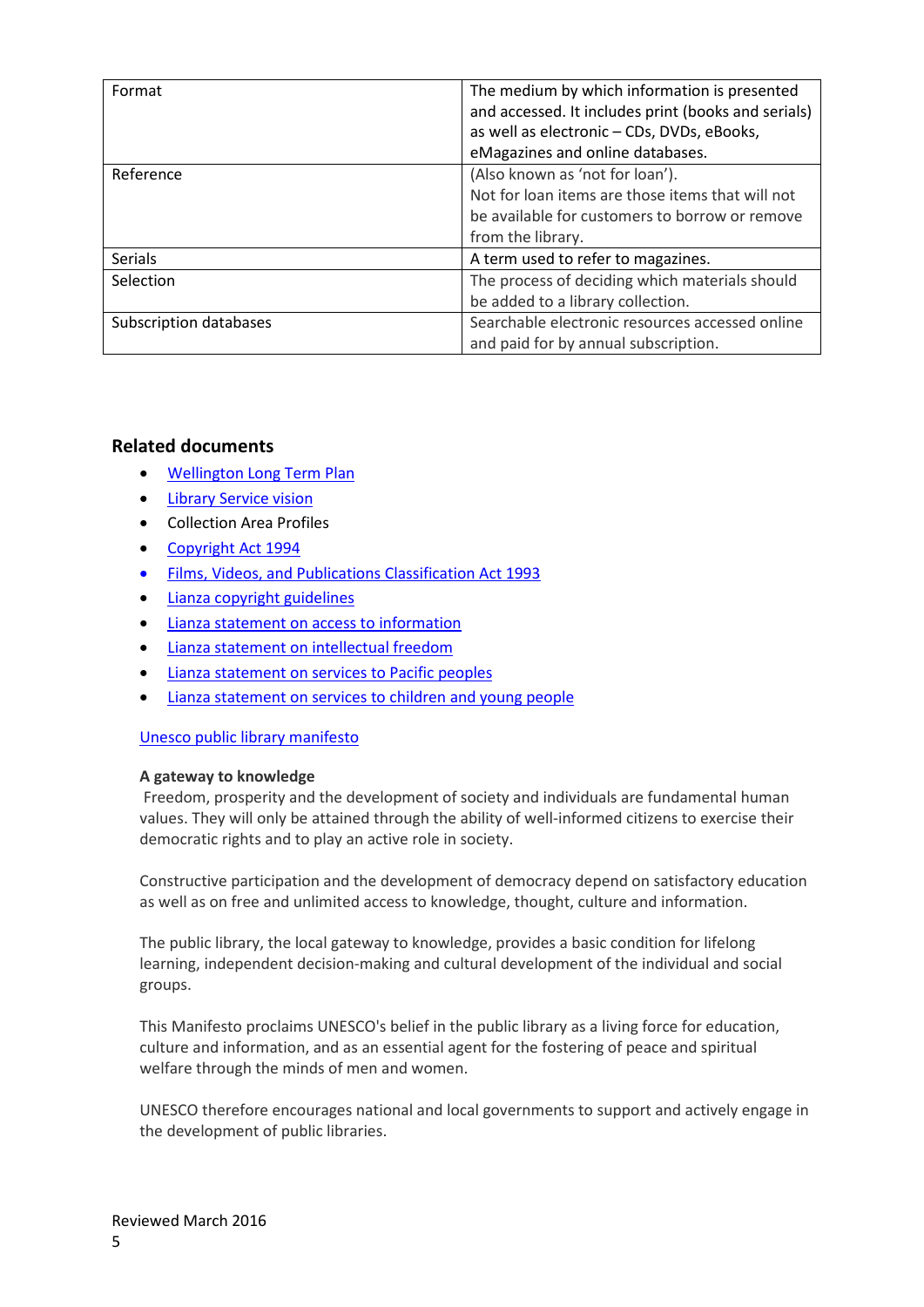| Format                 | The medium by which information is presented        |
|------------------------|-----------------------------------------------------|
|                        | and accessed. It includes print (books and serials) |
|                        | as well as electronic - CDs, DVDs, eBooks,          |
|                        | eMagazines and online databases.                    |
| Reference              | (Also known as 'not for loan').                     |
|                        | Not for loan items are those items that will not    |
|                        | be available for customers to borrow or remove      |
|                        | from the library.                                   |
| <b>Serials</b>         | A term used to refer to magazines.                  |
| Selection              | The process of deciding which materials should      |
|                        | be added to a library collection.                   |
| Subscription databases | Searchable electronic resources accessed online     |
|                        | and paid for by annual subscription.                |

#### **Related documents**

- [Wellington Long Term Plan](http://ltp2015.publications.wellington.govt.nz/)
- [Library Service vision](https://www.wcl.govt.nz/about/services/wcl-libraries-communityspaces-services-vision.pdf)
- Collection Area Profiles
- [Copyright Act](http://www.legislation.govt.nz/act/public/1994/0143/latest/DLM345634.html) 1994
- [Films, Videos, and Publications Classification Act 1993](http://www.legislation.govt.nz/act/public/1993/0094/latest/DLM312895.html)
- [Lianza copyright guidelines](http://www.lianza.org.nz/sites/default/files/LIANZA%20Copyright%20guidelines%20-%20October%202013.pdf)
- [Lianza statement on access to information](http://www.lianza.org.nz/sites/default/files/LIANZA%20Statement%20-%20Access%20to%20Information.pdf)
- [Lianza statement on intellectual freedom](http://www.lianza.org.nz/sites/default/files/LIANZA%20Statement%20-%20Intellectual%20Freedom.pdf)
- [Lianza statement on services to Pacific](http://www.lianza.org.nz/sites/default/files/LIANZA_StatementLIS_PacificPeoples_0.pd) peoples
- [Lianza statement on services to children](http://www.lianza.org.nz/sites/default/files/lianza_statement_-_lib_services_to_children__young_people.pdf) and young people

#### [Unesco public](http://www.unesco.org/webworld/libraries/manifestos/libraman.html) library manifesto

#### **A gateway to knowledge**

Freedom, prosperity and the development of society and individuals are fundamental human values. They will only be attained through the ability of well-informed citizens to exercise their democratic rights and to play an active role in society.

Constructive participation and the development of democracy depend on satisfactory education as well as on free and unlimited access to knowledge, thought, culture and information.

The public library, the local gateway to knowledge, provides a basic condition for lifelong learning, independent decision-making and cultural development of the individual and social groups.

This Manifesto proclaims UNESCO's belief in the public library as a living force for education, culture and information, and as an essential agent for the fostering of peace and spiritual welfare through the minds of men and women.

UNESCO therefore encourages national and local governments to support and actively engage in the development of public libraries.